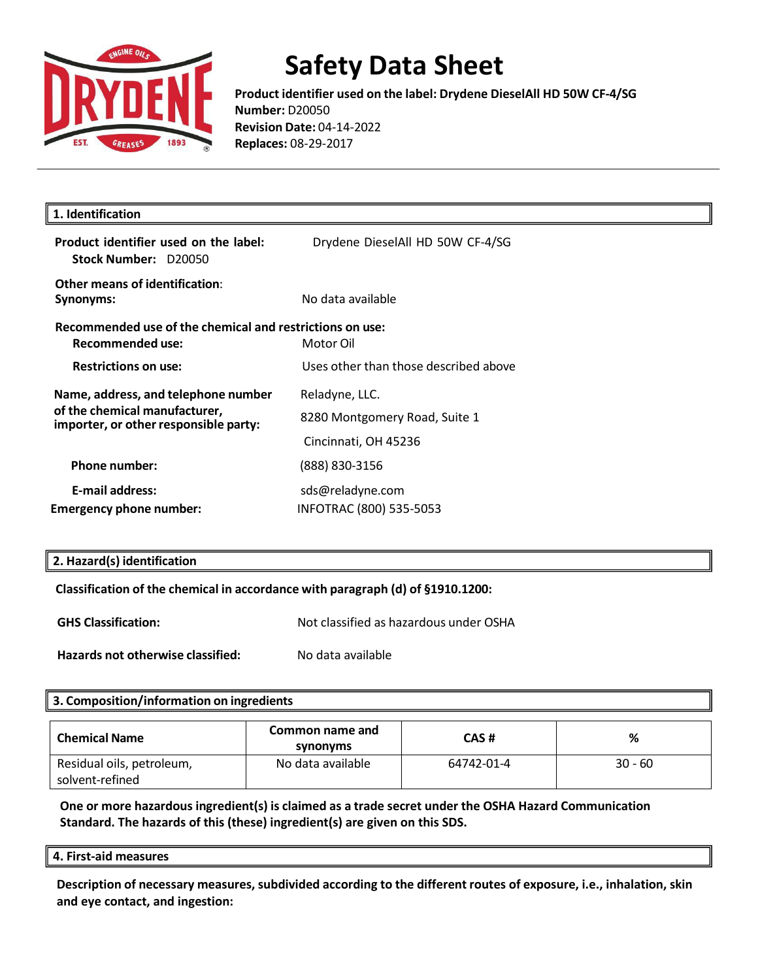

**Product identifier used on the label: Drydene DieselAll HD 50W CF-4/SG Number:** D20050 **Revision Date:** 04-14-2022 **Replaces:** 08-29-2017

| 1. Identification                                                                                             |                                       |  |
|---------------------------------------------------------------------------------------------------------------|---------------------------------------|--|
| Product identifier used on the label:<br>Stock Number: D20050                                                 | Drydene DieselAll HD 50W CF-4/SG      |  |
| Other means of identification:<br>Synonyms:                                                                   | No data available                     |  |
| Recommended use of the chemical and restrictions on use:<br>Recommended use:                                  | Motor Oil                             |  |
| <b>Restrictions on use:</b>                                                                                   | Uses other than those described above |  |
| Name, address, and telephone number<br>of the chemical manufacturer,<br>importer, or other responsible party: | Reladyne, LLC.                        |  |
|                                                                                                               | 8280 Montgomery Road, Suite 1         |  |
|                                                                                                               | Cincinnati, OH 45236                  |  |
| Phone number:                                                                                                 | (888) 830-3156                        |  |
| <b>E-mail address:</b>                                                                                        | sds@reladyne.com                      |  |
| <b>Emergency phone number:</b>                                                                                | INFOTRAC (800) 535-5053               |  |

### **2. Hazard(s) identification**

### **Classification of the chemical in accordance with paragraph (d) of §1910.1200:**

**GHS Classification:** Not classified as hazardous under OSHA **Hazards not otherwise classified:** No data available

| 3. Composition/information on ingredients    |                             |            |           |
|----------------------------------------------|-----------------------------|------------|-----------|
| <b>Chemical Name</b>                         | Common name and<br>synonyms | CAS#       | %         |
| Residual oils, petroleum,<br>solvent-refined | No data available           | 64742-01-4 | $30 - 60$ |

**One or more hazardous ingredient(s) is claimed as a trade secret under the OSHA Hazard Communication Standard. The hazards of this (these) ingredient(s) are given on this SDS.**

#### **4. First-aid measures**

**Description of necessary measures,subdivided according to the different routes of exposure, i.e., inhalation, skin and eye contact, and ingestion:**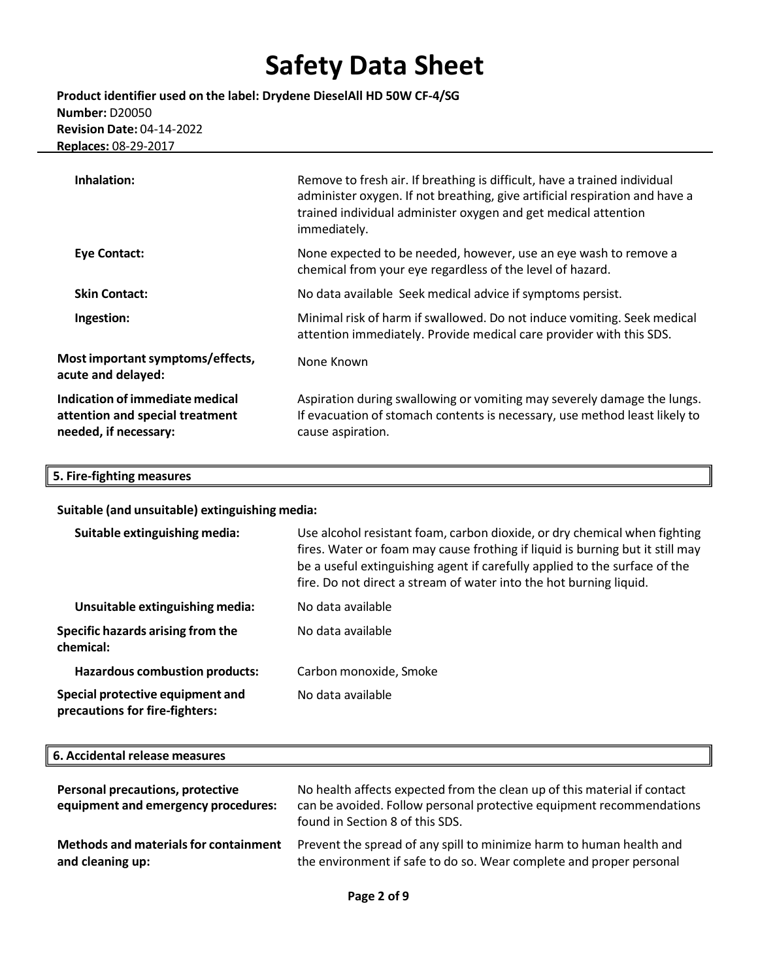**Product identifier used on the label: Drydene DieselAll HD 50W CF-4/SG Number:** D20050 **Revision Date:** 04-14-2022 **Replaces:** 08-29-2017

| Inhalation:                                                                                 | Remove to fresh air. If breathing is difficult, have a trained individual<br>administer oxygen. If not breathing, give artificial respiration and have a<br>trained individual administer oxygen and get medical attention<br>immediately. |
|---------------------------------------------------------------------------------------------|--------------------------------------------------------------------------------------------------------------------------------------------------------------------------------------------------------------------------------------------|
| <b>Eye Contact:</b>                                                                         | None expected to be needed, however, use an eye wash to remove a<br>chemical from your eye regardless of the level of hazard.                                                                                                              |
| <b>Skin Contact:</b>                                                                        | No data available Seek medical advice if symptoms persist.                                                                                                                                                                                 |
| Ingestion:                                                                                  | Minimal risk of harm if swallowed. Do not induce vomiting. Seek medical<br>attention immediately. Provide medical care provider with this SDS.                                                                                             |
| Most important symptoms/effects,<br>acute and delayed:                                      | None Known                                                                                                                                                                                                                                 |
| Indication of immediate medical<br>attention and special treatment<br>needed, if necessary: | Aspiration during swallowing or vomiting may severely damage the lungs.<br>If evacuation of stomach contents is necessary, use method least likely to<br>cause aspiration.                                                                 |

### **5. Fire-fighting measures**

**Suitable (and unsuitable) extinguishing media:**

| Suitable extinguishing media:                                      | Use alcohol resistant foam, carbon dioxide, or dry chemical when fighting<br>fires. Water or foam may cause frothing if liquid is burning but it still may<br>be a useful extinguishing agent if carefully applied to the surface of the<br>fire. Do not direct a stream of water into the hot burning liquid. |
|--------------------------------------------------------------------|----------------------------------------------------------------------------------------------------------------------------------------------------------------------------------------------------------------------------------------------------------------------------------------------------------------|
| Unsuitable extinguishing media:                                    | No data available                                                                                                                                                                                                                                                                                              |
| <b>Specific hazards arising from the</b><br>chemical:              | No data available                                                                                                                                                                                                                                                                                              |
| <b>Hazardous combustion products:</b>                              | Carbon monoxide, Smoke                                                                                                                                                                                                                                                                                         |
| Special protective equipment and<br>precautions for fire-fighters: | No data available                                                                                                                                                                                                                                                                                              |

### **6. Accidental release measures**

| <b>Personal precautions, protective</b><br>equipment and emergency procedures: | No health affects expected from the clean up of this material if contact<br>can be avoided. Follow personal protective equipment recommendations<br>found in Section 8 of this SDS. |
|--------------------------------------------------------------------------------|-------------------------------------------------------------------------------------------------------------------------------------------------------------------------------------|
| Methods and materials for containment                                          | Prevent the spread of any spill to minimize harm to human health and                                                                                                                |
| and cleaning up:                                                               | the environment if safe to do so. Wear complete and proper personal                                                                                                                 |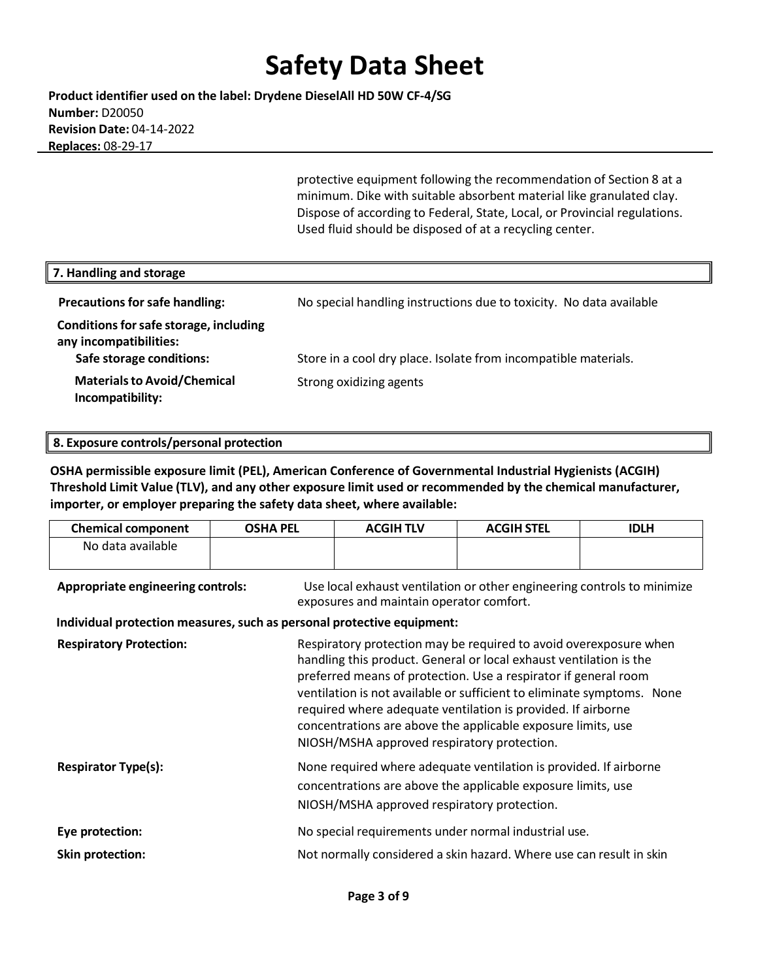**Product identifier used on the label: Drydene DieselAll HD 50W CF-4/SG Number:** D20050 **Revision Date:** 04-14-2022  **Replaces:** 08-29-17

> protective equipment following the recommendation of Section 8 at a minimum. Dike with suitable absorbent material like granulated clay. Dispose of according to Federal, State, Local, or Provincial regulations. Used fluid should be disposed of at a recycling center.

| 7. Handling and storage                                                                      |                                                                     |
|----------------------------------------------------------------------------------------------|---------------------------------------------------------------------|
| <b>Precautions for safe handling:</b>                                                        | No special handling instructions due to toxicity. No data available |
| Conditions for safe storage, including<br>any incompatibilities:<br>Safe storage conditions: | Store in a cool dry place. Isolate from incompatible materials.     |
| <b>Materials to Avoid/Chemical</b><br>Incompatibility:                                       | Strong oxidizing agents                                             |

#### **8. Exposure controls/personal protection**

**OSHA permissible exposure limit (PEL), American Conference of Governmental Industrial Hygienists (ACGIH) Threshold Limit Value (TLV), and any other exposure limit used or recommended by the chemical manufacturer, importer, or employer preparing the safety data sheet, where available:**

| <b>Chemical component</b>                                              | <b>OSHA PEL</b> | <b>ACGIHTLV</b>                                                                                                                                                                                                                                                                                                                                                                                                                                                     | <b>ACGIH STEL</b> | <b>IDLH</b> |
|------------------------------------------------------------------------|-----------------|---------------------------------------------------------------------------------------------------------------------------------------------------------------------------------------------------------------------------------------------------------------------------------------------------------------------------------------------------------------------------------------------------------------------------------------------------------------------|-------------------|-------------|
| No data available                                                      |                 |                                                                                                                                                                                                                                                                                                                                                                                                                                                                     |                   |             |
| <b>Appropriate engineering controls:</b>                               |                 | Use local exhaust ventilation or other engineering controls to minimize<br>exposures and maintain operator comfort.                                                                                                                                                                                                                                                                                                                                                 |                   |             |
| Individual protection measures, such as personal protective equipment: |                 |                                                                                                                                                                                                                                                                                                                                                                                                                                                                     |                   |             |
| <b>Respiratory Protection:</b>                                         |                 | Respiratory protection may be required to avoid overexposure when<br>handling this product. General or local exhaust ventilation is the<br>preferred means of protection. Use a respirator if general room<br>ventilation is not available or sufficient to eliminate symptoms. None<br>required where adequate ventilation is provided. If airborne<br>concentrations are above the applicable exposure limits, use<br>NIOSH/MSHA approved respiratory protection. |                   |             |
| <b>Respirator Type(s):</b>                                             |                 | None required where adequate ventilation is provided. If airborne<br>concentrations are above the applicable exposure limits, use<br>NIOSH/MSHA approved respiratory protection.                                                                                                                                                                                                                                                                                    |                   |             |
| Eye protection:                                                        |                 | No special requirements under normal industrial use.                                                                                                                                                                                                                                                                                                                                                                                                                |                   |             |
| <b>Skin protection:</b>                                                |                 | Not normally considered a skin hazard. Where use can result in skin                                                                                                                                                                                                                                                                                                                                                                                                 |                   |             |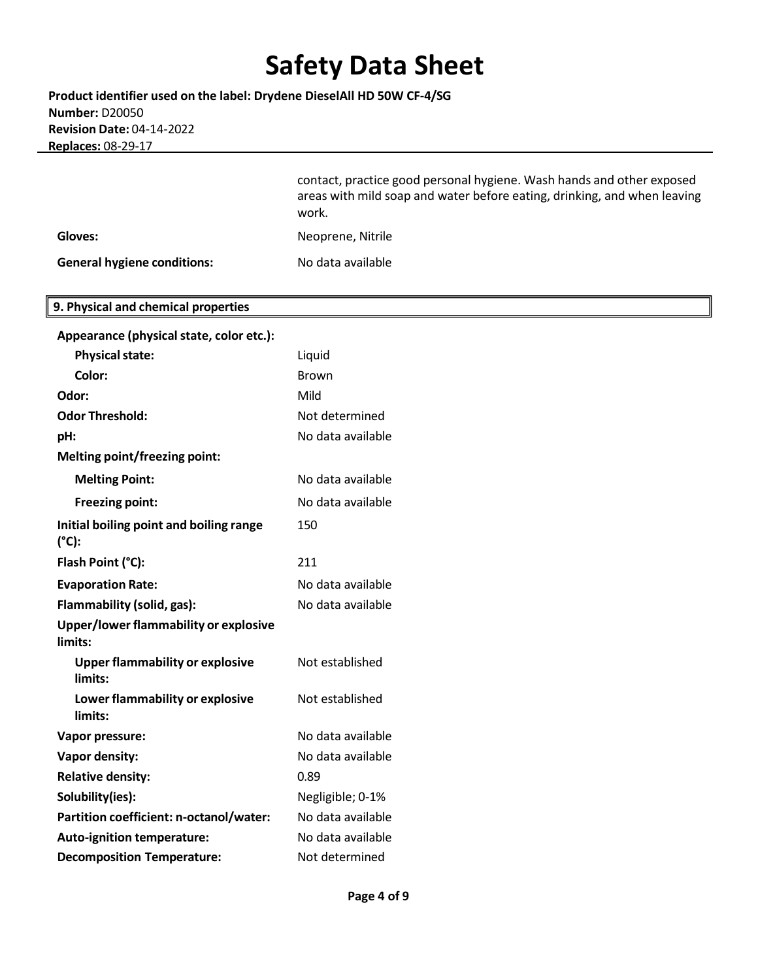**Product identifier used on the label: Drydene DieselAll HD 50W CF-4/SG Number:** D20050 **Revision Date:** 04-14-2022  **Replaces:** 08-29-17

> contact, practice good personal hygiene. Wash hands and other exposed areas with mild soap and water before eating, drinking, and when leaving work.

| Gloves:                            | Neoprene, Nitrile |
|------------------------------------|-------------------|
| <b>General hygiene conditions:</b> | No data available |

## **9. Physical and chemical properties**

| Appearance (physical state, color etc.):          |                   |
|---------------------------------------------------|-------------------|
| <b>Physical state:</b>                            | Liquid            |
| Color:                                            | Brown             |
| Odor:                                             | Mild              |
| <b>Odor Threshold:</b>                            | Not determined    |
| pH:                                               | No data available |
| <b>Melting point/freezing point:</b>              |                   |
| <b>Melting Point:</b>                             | No data available |
| <b>Freezing point:</b>                            | No data available |
| Initial boiling point and boiling range<br>(°C):  | 150               |
| Flash Point (°C):                                 | 211               |
| <b>Evaporation Rate:</b>                          | No data available |
| Flammability (solid, gas):                        | No data available |
| Upper/lower flammability or explosive<br>limits:  |                   |
| <b>Upper flammability or explosive</b><br>limits: | Not established   |
| Lower flammability or explosive<br>limits:        | Not established   |
| Vapor pressure:                                   | No data available |
| Vapor density:                                    | No data available |
| <b>Relative density:</b>                          | 0.89              |
| Solubility(ies):                                  | Negligible; 0-1%  |
| Partition coefficient: n-octanol/water:           | No data available |
| Auto-ignition temperature:                        | No data available |
| <b>Decomposition Temperature:</b>                 | Not determined    |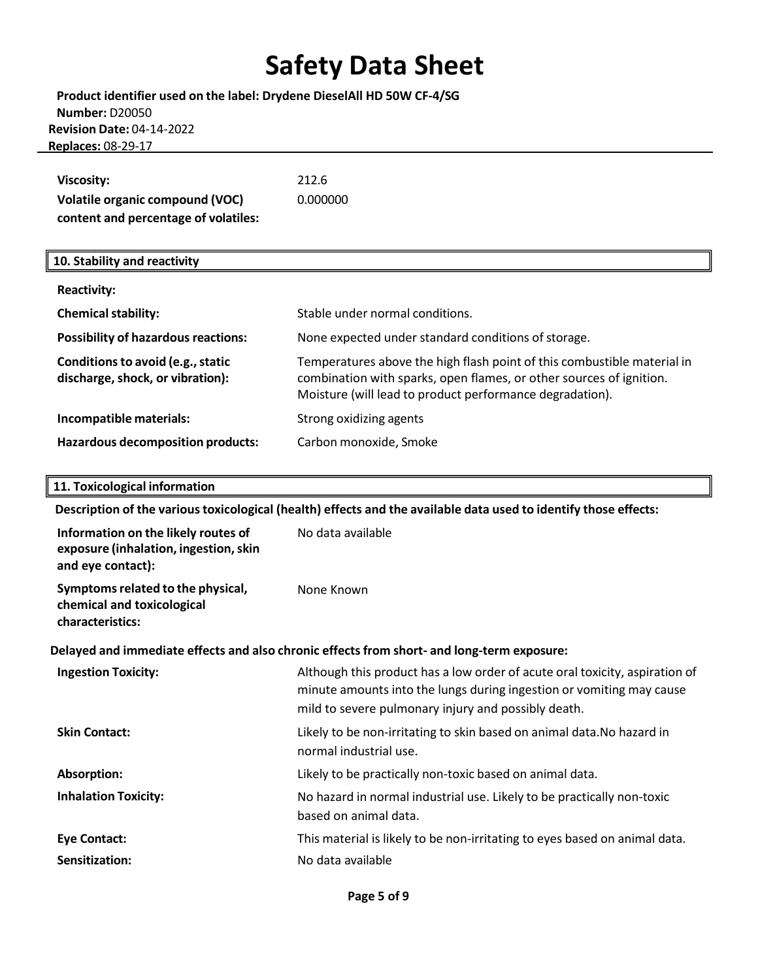| Product identifier used on the label: Drydene DieselAll HD 50W CF-4/SG |
|------------------------------------------------------------------------|
| <b>Number: D20050</b>                                                  |
| <b>Revision Date: 04-14-2022</b>                                       |
| <b>Replaces: 08-29-17</b>                                              |

| Viscosity:                           | 212.6    |
|--------------------------------------|----------|
| Volatile organic compound (VOC)      | 0.000000 |
| content and percentage of volatiles: |          |

## **10. Stability and reactivity**

| <b>Reactivity:</b>                                                    |                                                                                                                                                                                                            |
|-----------------------------------------------------------------------|------------------------------------------------------------------------------------------------------------------------------------------------------------------------------------------------------------|
| <b>Chemical stability:</b>                                            | Stable under normal conditions.                                                                                                                                                                            |
| <b>Possibility of hazardous reactions:</b>                            | None expected under standard conditions of storage.                                                                                                                                                        |
| Conditions to avoid (e.g., static<br>discharge, shock, or vibration): | Temperatures above the high flash point of this combustible material in<br>combination with sparks, open flames, or other sources of ignition.<br>Moisture (will lead to product performance degradation). |
| Incompatible materials:                                               | Strong oxidizing agents                                                                                                                                                                                    |
| <b>Hazardous decomposition products:</b>                              | Carbon monoxide, Smoke                                                                                                                                                                                     |

### **11. Toxicological information**

**Description of the varioustoxicological (health) effects and the available data used to identify those effects:**

| Information on the likely routes of<br>exposure (inhalation, ingestion, skin<br>and eye contact): | No data available                                                                                                                                                                                          |
|---------------------------------------------------------------------------------------------------|------------------------------------------------------------------------------------------------------------------------------------------------------------------------------------------------------------|
| Symptoms related to the physical,<br>chemical and toxicological<br>characteristics:               | None Known                                                                                                                                                                                                 |
|                                                                                                   | Delayed and immediate effects and also chronic effects from short- and long-term exposure:                                                                                                                 |
| <b>Ingestion Toxicity:</b>                                                                        | Although this product has a low order of acute oral toxicity, aspiration of<br>minute amounts into the lungs during ingestion or vomiting may cause<br>mild to severe pulmonary injury and possibly death. |
| <b>Skin Contact:</b>                                                                              | Likely to be non-irritating to skin based on animal data. No hazard in<br>normal industrial use.                                                                                                           |
| Absorption:                                                                                       | Likely to be practically non-toxic based on animal data.                                                                                                                                                   |
| <b>Inhalation Toxicity:</b>                                                                       | No hazard in normal industrial use. Likely to be practically non-toxic<br>based on animal data.                                                                                                            |
| <b>Eye Contact:</b>                                                                               | This material is likely to be non-irritating to eyes based on animal data.                                                                                                                                 |
| Sensitization:                                                                                    | No data available                                                                                                                                                                                          |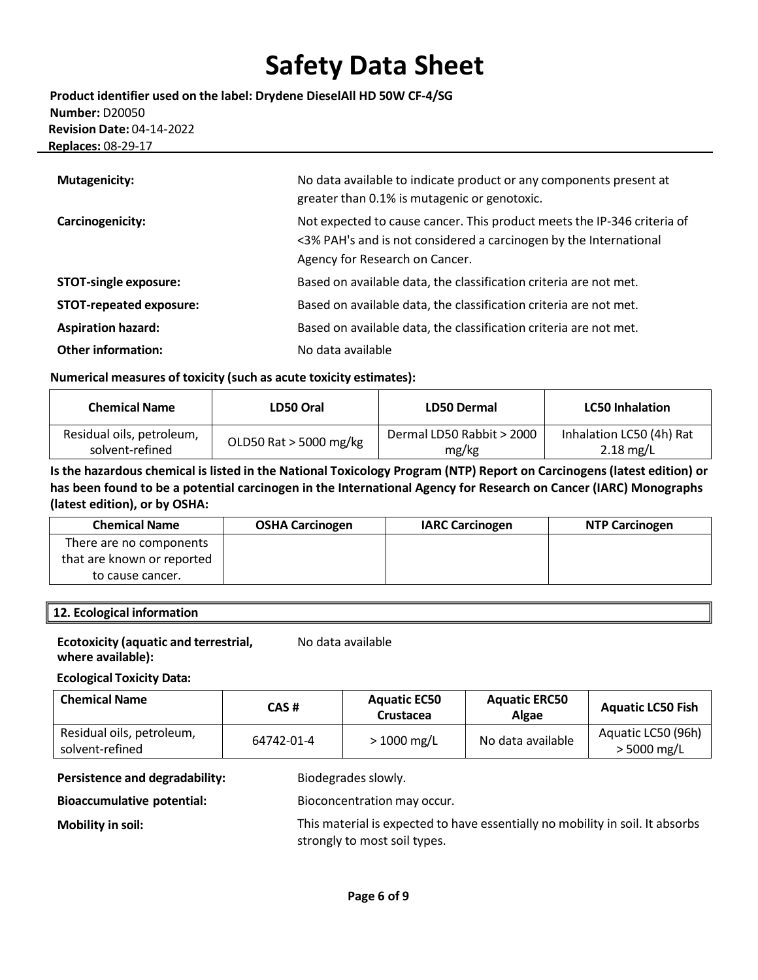**Product identifier used on the label: Drydene DieselAll HD 50W CF-4/SG Number:** D20050 **Revision Date:** 04-14-2022  **Replaces:** 08-29-17

| <b>Mutagenicity:</b>           | No data available to indicate product or any components present at<br>greater than 0.1% is mutagenic or genotoxic.                                                             |
|--------------------------------|--------------------------------------------------------------------------------------------------------------------------------------------------------------------------------|
| Carcinogenicity:               | Not expected to cause cancer. This product meets the IP-346 criteria of<br><3% PAH's and is not considered a carcinogen by the International<br>Agency for Research on Cancer. |
| <b>STOT-single exposure:</b>   | Based on available data, the classification criteria are not met.                                                                                                              |
| <b>STOT-repeated exposure:</b> | Based on available data, the classification criteria are not met.                                                                                                              |
| <b>Aspiration hazard:</b>      | Based on available data, the classification criteria are not met.                                                                                                              |
| <b>Other information:</b>      | No data available                                                                                                                                                              |

### **Numerical measures of toxicity (such as acute toxicity estimates):**

| <b>Chemical Name</b>      | LD50 Oral                | LD50 Dermal               | <b>LC50 Inhalation</b>   |
|---------------------------|--------------------------|---------------------------|--------------------------|
| Residual oils, petroleum, | OLD50 Rat $>$ 5000 mg/kg | Dermal LD50 Rabbit > 2000 | Inhalation LC50 (4h) Rat |
| solvent-refined           |                          | mg/kg                     | $2.18$ mg/L              |

Is the hazardous chemical is listed in the National Toxicology Program (NTP) Report on Carcinogens (latest edition) or **has been found to be a potential carcinogen in the International Agency for Research on Cancer (IARC) Monographs (latest edition), or by OSHA:**

| <b>Chemical Name</b>       | <b>OSHA Carcinogen</b> | <b>IARC Carcinogen</b> | <b>NTP Carcinogen</b> |
|----------------------------|------------------------|------------------------|-----------------------|
| There are no components    |                        |                        |                       |
| that are known or reported |                        |                        |                       |
| to cause cancer.           |                        |                        |                       |

### **12. Ecological information**

#### **Ecotoxicity (aquatic and terrestrial, where available):** No data available

**Ecological Toxicity Data:**

| <b>Chemical Name</b>                         | CAS#       | <b>Aquatic EC50</b><br>Crustacea | <b>Aquatic ERC50</b><br>Algae | <b>Aquatic LC50 Fish</b>            |
|----------------------------------------------|------------|----------------------------------|-------------------------------|-------------------------------------|
| Residual oils, petroleum,<br>solvent-refined | 64742-01-4 | $>1000$ mg/L                     | No data available             | Aquatic LC50 (96h)<br>$>$ 5000 mg/L |

**Persistence and degradability:** Biodegrades slowly.

**Bioaccumulative potential:** Bioconcentration may occur.

**Mobility in soil:** This material is expected to have essentially no mobility in soil. It absorbs strongly to most soil types.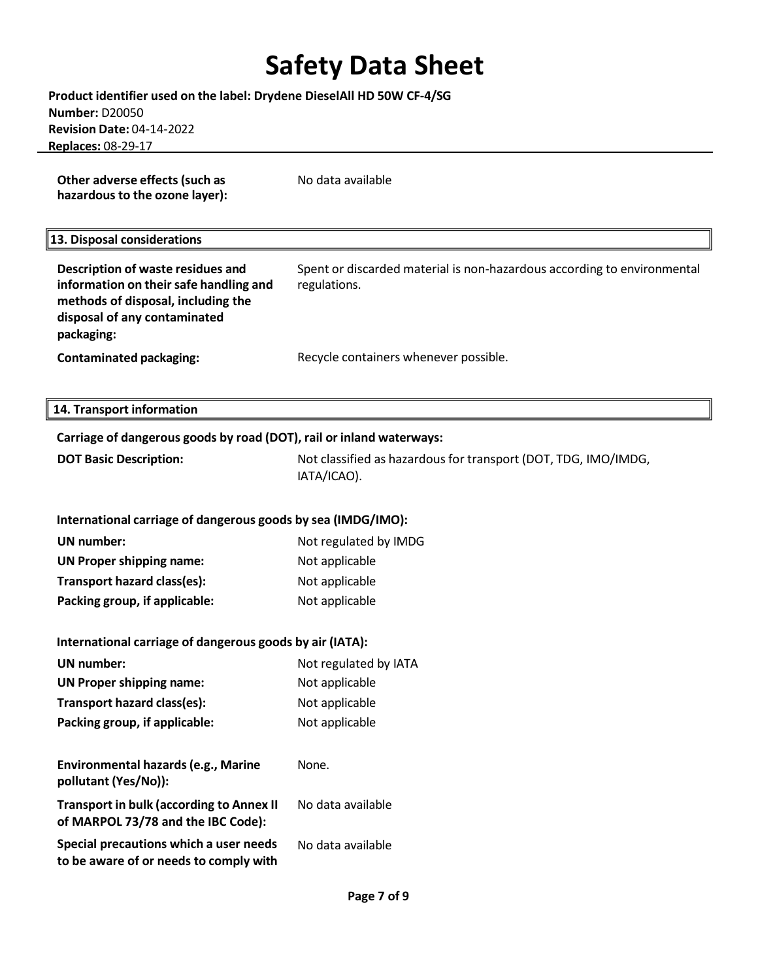| Product identifier used on the label: Drydene DieselAll HD 50W CF-4/SG                                                                                          |                                                                                         |
|-----------------------------------------------------------------------------------------------------------------------------------------------------------------|-----------------------------------------------------------------------------------------|
| <b>Number: D20050</b><br><b>Revision Date: 04-14-2022</b>                                                                                                       |                                                                                         |
| Replaces: 08-29-17                                                                                                                                              |                                                                                         |
|                                                                                                                                                                 |                                                                                         |
| Other adverse effects (such as<br>hazardous to the ozone layer):                                                                                                | No data available                                                                       |
| 13. Disposal considerations                                                                                                                                     |                                                                                         |
| Description of waste residues and<br>information on their safe handling and<br>methods of disposal, including the<br>disposal of any contaminated<br>packaging: | Spent or discarded material is non-hazardous according to environmental<br>regulations. |
| <b>Contaminated packaging:</b>                                                                                                                                  | Recycle containers whenever possible.                                                   |
| 14. Transport information                                                                                                                                       |                                                                                         |
| Carriage of dangerous goods by road (DOT), rail or inland waterways:                                                                                            |                                                                                         |
| <b>DOT Basic Description:</b>                                                                                                                                   | Not classified as hazardous for transport (DOT, TDG, IMO/IMDG,<br>IATA/ICAO).           |
| International carriage of dangerous goods by sea (IMDG/IMO):                                                                                                    |                                                                                         |
| <b>UN</b> number:                                                                                                                                               | Not regulated by IMDG                                                                   |
| <b>UN Proper shipping name:</b>                                                                                                                                 | Not applicable                                                                          |
| Transport hazard class(es):                                                                                                                                     | Not applicable                                                                          |
| Packing group, if applicable:                                                                                                                                   | Not applicable                                                                          |
| International carriage of dangerous goods by air (IATA):                                                                                                        |                                                                                         |
| <b>UN</b> number:                                                                                                                                               | Not regulated by IATA                                                                   |
| <b>UN Proper shipping name:</b>                                                                                                                                 | Not applicable                                                                          |
| Transport hazard class(es):                                                                                                                                     | Not applicable                                                                          |
| Packing group, if applicable:                                                                                                                                   | Not applicable                                                                          |
| <b>Environmental hazards (e.g., Marine</b><br>pollutant (Yes/No)):                                                                                              | None.                                                                                   |
| <b>Transport in bulk (according to Annex II</b><br>of MARPOL 73/78 and the IBC Code):                                                                           | No data available                                                                       |
| Special precautions which a user needs<br>to be aware of or needs to comply with                                                                                | No data available                                                                       |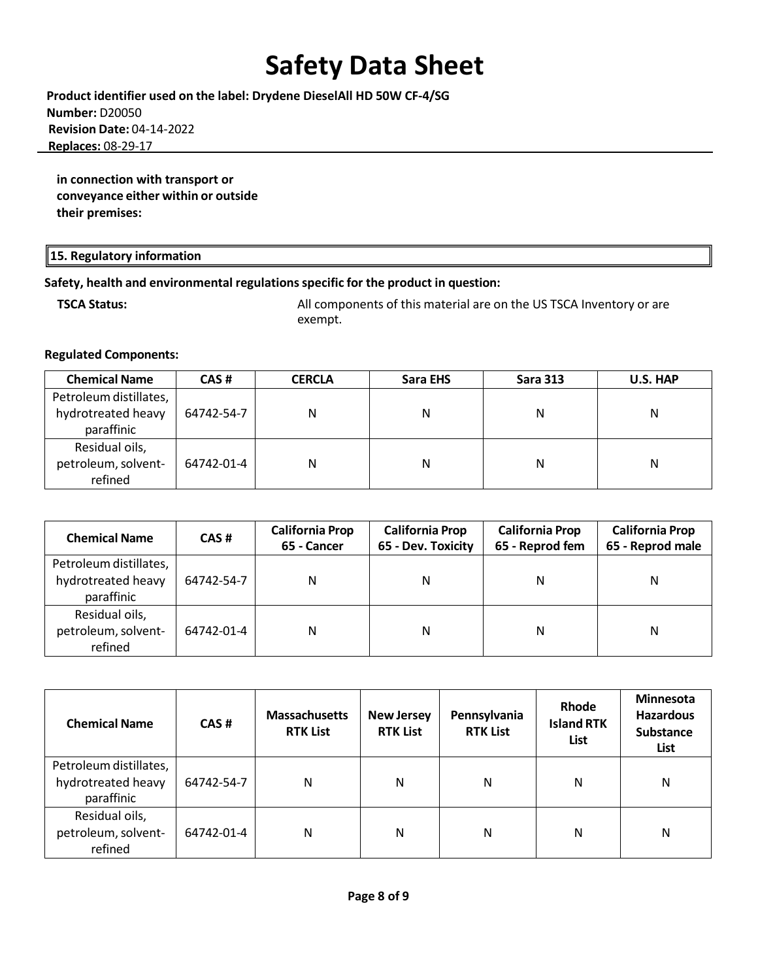**Product identifier used on the label: Drydene DieselAll HD 50W CF-4/SG Number:** D20050 **Revision Date:** 04-14-2022  **Replaces:** 08-29-17

**in connection with transport or conveyance either within or outside their premises:**

### **15. Regulatory information**

### **Safety, health and environmental regulationsspecific for the product in question:**

**TSCA Status:** All components of this material are on the US TSCA Inventory or are exempt.

### **Regulated Components:**

| <b>Chemical Name</b>                                       | CAS#       | <b>CERCLA</b> | Sara EHS | <b>Sara 313</b> | U.S. HAP |
|------------------------------------------------------------|------------|---------------|----------|-----------------|----------|
| Petroleum distillates,<br>hydrotreated heavy<br>paraffinic | 64742-54-7 | N             | Ν        | N               | N        |
| Residual oils,<br>petroleum, solvent-<br>refined           | 64742-01-4 | Ν             | Ν        | Ν               | N        |

| <b>Chemical Name</b>                                       | CAS#       | <b>California Prop</b><br><b>California Prop</b><br>65 - Dev. Toxicity<br>65 - Cancer |   | <b>California Prop</b><br>65 - Reprod fem | <b>California Prop</b><br>65 - Reprod male |
|------------------------------------------------------------|------------|---------------------------------------------------------------------------------------|---|-------------------------------------------|--------------------------------------------|
| Petroleum distillates,<br>hydrotreated heavy<br>paraffinic | 64742-54-7 | N                                                                                     | N | N                                         | Ν                                          |
| Residual oils,<br>petroleum, solvent-<br>refined           | 64742-01-4 | Ν                                                                                     | N | Ν                                         | N                                          |

| <b>Chemical Name</b>                                       | CAS#       | <b>Massachusetts</b><br><b>RTK List</b> | <b>New Jersey</b><br><b>RTK List</b> | Pennsylvania<br><b>RTK List</b> | Rhode<br><b>Island RTK</b><br>List | <b>Minnesota</b><br><b>Hazardous</b><br><b>Substance</b><br><b>List</b> |
|------------------------------------------------------------|------------|-----------------------------------------|--------------------------------------|---------------------------------|------------------------------------|-------------------------------------------------------------------------|
| Petroleum distillates,<br>hydrotreated heavy<br>paraffinic | 64742-54-7 | N                                       | Ν                                    | Ν                               | N                                  | N                                                                       |
| Residual oils,<br>petroleum, solvent-<br>refined           | 64742-01-4 | N                                       | Ν                                    | Ν                               | N                                  | N                                                                       |